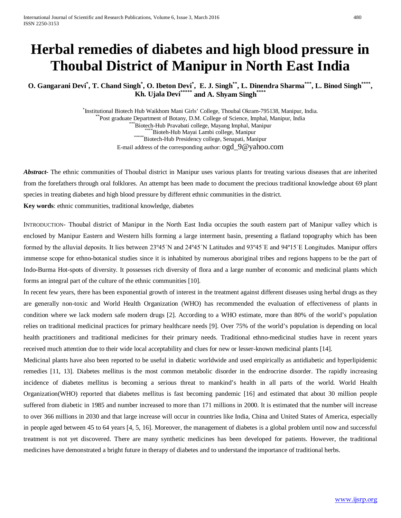# **Herbal remedies of diabetes and high blood pressure in Thoubal District of Manipur in North East India**

**O. Gangarani Devi\* , T. Chand Singh\* , O. Ibeton Devi\* , E. J. Singh\*\*, L. Dinendra Sharma\*\*\*, L. Binod Singh\*\*\*\*, Kh. Ujala Devi\*\*\*\*\* and A. Shyam Singh\*\*\*\***

> \*Institutional Biotech Hub Waikhom Mani Girls' College, Thoubal Okram-795138, Manipur, India. Post graduate Department of Botany, D.M. College of Science, Imphal, Manipur, India<br>
> \*\*\*\*Biotech-Hub Pravabati college, Mayang Imphal, Manipur<br>
> \*\*\*\*\*Biotech-Hub Mayai Lambi college, Manipur<br>
> \*\*\*\*\*\*Biotech-Hub Presidency co E-mail address of the corresponding author[: ogd\\_9@yahoo.com](mailto:ogd_9@yahoo.com)

*Abstract***-** The ethnic communities of Thoubal district in Manipur uses various plants for treating various diseases that are inherited from the forefathers through oral folklores. An attempt has been made to document the precious traditional knowledge about 69 plant species in treating diabetes and high blood pressure by different ethnic communities in the district.

**Key words**: ethnic communities, traditional knowledge, diabetes

INTRODUCTION- Thoubal district of Manipur in the North East India occupies the south eastern part of Manipur valley which is enclosed by Manipur Eastern and Western hills forming a large interment basin, presenting a flatland topography which has been formed by the alluvial deposits. It lies between 23°45'N and 24°45'N Latitudes and 93°45'E and 94°15'E Longitudes. Manipur offers immense scope for ethno-botanical studies since it is inhabited by numerous aboriginal tribes and regions happens to be the part of Indo-Burma Hot-spots of diversity. It possesses rich diversity of flora and a large number of economic and medicinal plants which forms an integral part of the culture of the ethnic communities [10].

In recent few years, there has been exponential growth of interest in the treatment against different diseases using herbal drugs as they are generally non-toxic and World Health Organization (WHO) has recommended the evaluation of effectiveness of plants in condition where we lack modern safe modern drugs [2]. According to a WHO estimate, more than 80% of the world's population relies on traditional medicinal practices for primary healthcare needs [9]. Over 75% of the world's population is depending on local health practitioners and traditional medicines for their primary needs. Traditional ethno-medicinal studies have in recent years received much attention due to their wide local acceptability and clues for new or lesser-known medicinal plants [14].

Medicinal plants have also been reported to be useful in diabetic worldwide and used empirically as antidiabetic and hyperlipidemic remedies [11, 13]. Diabetes mellitus is the most common metabolic disorder in the endrocrine disorder. The rapidly increasing incidence of diabetes mellitus is becoming a serious threat to mankind's health in all parts of the world. World Health Organization(WHO) reported that diabetes mellitus is fast becoming pandemic [16] and estimated that about 30 million people suffered from diabetic in 1985 and number increased to more than 171 millions in 2000. It is estimated that the number will increase to over 366 millions in 2030 and that large increase will occur in countries like India, China and United States of America, especially in people aged between 45 to 64 years [4, 5, 16]. Moreover, the management of diabetes is a global problem until now and successful treatment is not yet discovered. There are many synthetic medicines has been developed for patients. However, the traditional medicines have demonstrated a bright future in therapy of diabetes and to understand the importance of traditional herbs.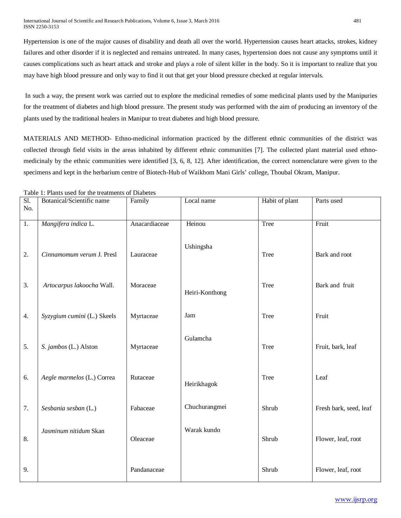Hypertension is one of the major causes of disability and death all over the world. Hypertension causes heart attacks, strokes, kidney failures and other disorder if it is neglected and remains untreated. In many cases, hypertension does not cause any symptoms until it causes complications such as heart attack and stroke and plays a role of silent killer in the body. So it is important to realize that you may have high blood pressure and only way to find it out that get your blood pressure checked at regular intervals.

In such a way, the present work was carried out to explore the medicinal remedies of some medicinal plants used by the Manipuries for the treatment of diabetes and high blood pressure. The present study was performed with the aim of producing an inventory of the plants used by the traditional healers in Manipur to treat diabetes and high blood pressure.

MATERIALS AND METHOD- Ethno-medicinal information practiced by the different ethnic communities of the district was collected through field visits in the areas inhabited by different ethnic communities [7]. The collected plant material used ethnomedicinaly by the ethnic communities were identified [3, 6, 8, 12]. After identification, the correct nomenclature were given to the specimens and kept in the herbarium centre of Biotech-Hub of Waikhom Mani Girls' college, Thoubal Okram, Manipur.

Sl. No. Botanical/Scientific name Family Local name Habit of plant Parts used 1. 2. 3. 4. 5. 6. 7. 8. 9. *Mangifera indica* L. *Cinnamomum verum* J. Presl *Artocarpus lakoocha* Wall. *Syzygium cumini* (L.) Skeels *S. jambos* (L.) Alston *Aegle marmelos* (L.) Correa *Sesbania sesban* (L.) *Jasminum nitidum* Skan Anacardiaceae Lauraceae Moraceae Myrtaceae Myrtaceae Rutaceae Fabaceae Oleaceae Pandanaceae Heinou Ushingsha Heiri-Konthong Jam Gulamcha Heirikhagok Chuchurangmei Warak kundo Tree Tree Tree Tree Tree Tree Shrub Shrub Shrub Fruit Bark and root Bark and fruit Fruit Fruit, bark, leaf Leaf Fresh bark, seed, leaf Flower, leaf, root Flower, leaf, root

Table 1: Plants used for the treatments of Diabetes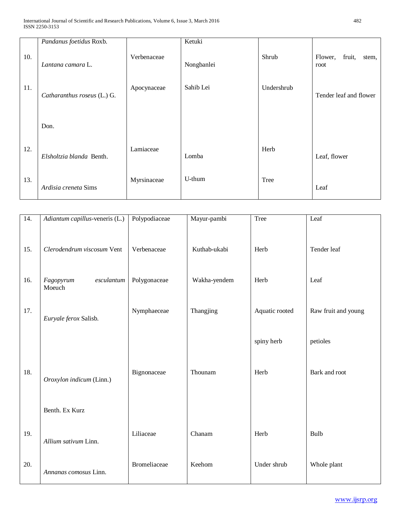|     | Pandanus foetidus Roxb.     |             | Ketuki     |            |                                    |
|-----|-----------------------------|-------------|------------|------------|------------------------------------|
| 10. | Lantana camara L.           | Verbenaceae | Nongbanlei | Shrub      | fruit,<br>Flower,<br>stem,<br>root |
| 11. | Catharanthus roseus (L.) G. | Apocynaceae | Sahib Lei  | Undershrub | Tender leaf and flower             |
|     | Don.                        |             |            |            |                                    |
| 12. | Elsholtzia blanda Benth.    | Lamiaceae   | Lomba      | Herb       | Leaf, flower                       |
| 13. | Ardisia creneta Sims        | Myrsinaceae | U-thum     | Tree       | Leaf                               |

| 14. | Adiantum capillus-veneris (L.)    | Polypodiaceae       | Mayur-pambi  | Tree           | Leaf                |
|-----|-----------------------------------|---------------------|--------------|----------------|---------------------|
| 15. | Clerodendrum viscosum Vent        | Verbenaceae         | Kuthab-ukabi | Herb           | Tender leaf         |
| 16. | Fagopyrum<br>esculantum<br>Moeuch | Polygonaceae        | Wakha-yendem | Herb           | Leaf                |
| 17. | Euryale ferox Salisb.             | Nymphaeceae         | Thangjing    | Aquatic rooted | Raw fruit and young |
|     |                                   |                     |              | spiny herb     | petioles            |
| 18. | Oroxylon indicum (Linn.)          | Bignonaceae         | Thounam      | Herb           | Bark and root       |
|     | Benth. Ex Kurz                    |                     |              |                |                     |
| 19. | Allium sativum Linn.              | Liliaceae           | Chanam       | Herb           | Bulb                |
| 20. | Annanas comosus Linn.             | <b>Bromeliaceae</b> | Keehom       | Under shrub    | Whole plant         |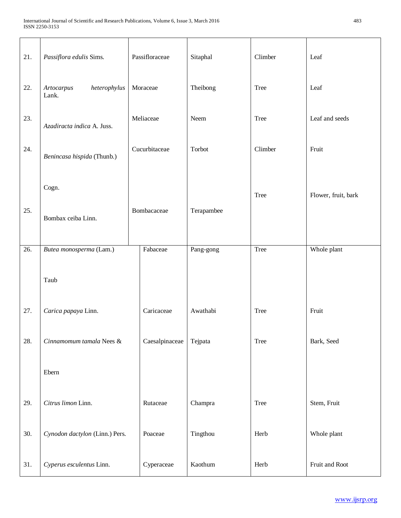| 21. | Passiflora edulis Sims.<br>Passifloraceae              |                | Sitaphal | Climber    | Leaf    |                     |
|-----|--------------------------------------------------------|----------------|----------|------------|---------|---------------------|
| 22. | heterophylus<br>Moraceae<br><b>Artocarpus</b><br>Lank. |                | Theibong | Tree       | Leaf    |                     |
| 23. | Azadiracta indica A. Juss.                             | Meliaceae      |          | Neem       | Tree    | Leaf and seeds      |
| 24. | Benincasa hispida (Thunb.)                             | Cucurbitaceae  |          | Torbot     | Climber | Fruit               |
|     | Cogn.                                                  |                |          |            | Tree    | Flower, fruit, bark |
| 25. | Bombax ceiba Linn.                                     | Bombacaceae    |          | Terapambee |         |                     |
| 26. | Butea monosperma (Lam.)                                | Fabaceae       |          | Pang-gong  | Tree    | Whole plant         |
|     | Taub                                                   |                |          |            |         |                     |
| 27. | Carica papaya Linn.                                    | Caricaceae     |          | Awathabi   | Tree    | Fruit               |
| 28. | Cinnamomum tamala Nees &                               | Caesalpinaceae |          | Tejpata    | Tree    | Bark, Seed          |
|     | Ebern                                                  |                |          |            |         |                     |
| 29. | Citrus limon Linn.                                     | Rutaceae       |          | Champra    | Tree    | Stem, Fruit         |
| 30. | Cynodon dactylon (Linn.) Pers.                         | Poaceae        |          | Tingthou   | Herb    | Whole plant         |
| 31. | Cyperus esculentus Linn.                               | Cyperaceae     |          | Kaothum    | Herb    | Fruit and Root      |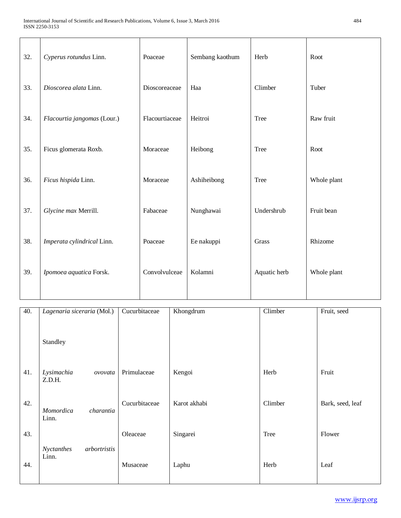| 32. | Cyperus rotundus Linn.      | Poaceae        | Sembang kaothum | Herb         | Root        |
|-----|-----------------------------|----------------|-----------------|--------------|-------------|
| 33. | Dioscorea alata Linn.       | Dioscoreaceae  | Haa             | Climber      | Tuber       |
| 34. | Flacourtia jangomas (Lour.) | Flacourtiaceae | Heitroi         | <b>Tree</b>  | Raw fruit   |
| 35. | Ficus glomerata Roxb.       | Moraceae       | Heibong         | <b>Tree</b>  | Root        |
| 36. | Ficus hispida Linn.         | Moraceae       | Ashiheibong     | <b>Tree</b>  | Whole plant |
| 37. | Glycine max Merrill.        | Fabaceae       | Nunghawai       | Undershrub   | Fruit bean  |
| 38. | Imperata cylindrical Linn.  | Poaceae        | Ee nakuppi      | Grass        | Rhizome     |
| 39. | Ipomoea aquatica Forsk.     | Convolvulceae  | Kolamni         | Aquatic herb | Whole plant |

| 40. | Lagenaria siceraria (Mol.)          | Cucurbitaceae | Khongdrum    | Climber | Fruit, seed      |
|-----|-------------------------------------|---------------|--------------|---------|------------------|
|     | Standley                            |               |              |         |                  |
| 41. | Lysimachia<br>ovovata<br>Z.D.H.     | Primulaceae   | Kengoi       | Herb    | Fruit            |
| 42. | charantia<br>Momordica<br>Linn.     | Cucurbitaceae | Karot akhabi | Climber | Bark, seed, leaf |
| 43. |                                     | Oleaceae      | Singarei     | Tree    | Flower           |
| 44. | Nyctanthes<br>arbortristis<br>Linn. | Musaceae      | Laphu        | Herb    | Leaf             |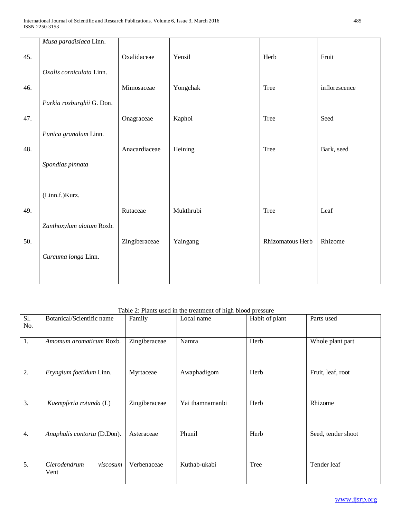|     | Musa paradisiaca Linn.    |               |           |                  |               |
|-----|---------------------------|---------------|-----------|------------------|---------------|
| 45. |                           | Oxalidaceae   | Yensil    | Herb             | Fruit         |
|     |                           |               |           |                  |               |
|     | Oxalis corniculata Linn.  |               |           |                  |               |
| 46. |                           | Mimosaceae    | Yongchak  | Tree             | inflorescence |
|     | Parkia roxburghii G. Don. |               |           |                  |               |
| 47. |                           | Onagraceae    | Kaphoi    | Tree             | Seed          |
|     |                           |               |           |                  |               |
|     | Punica granalum Linn.     |               |           |                  |               |
| 48. |                           | Anacardiaceae | Heining   | Tree             | Bark, seed    |
|     | Spondias pinnata          |               |           |                  |               |
|     |                           |               |           |                  |               |
|     |                           |               |           |                  |               |
|     | (Linn.f.)Kurz.            |               |           |                  |               |
| 49. |                           | Rutaceae      | Mukthrubi | Tree             | Leaf          |
|     | Zanthoxylum alatum Roxb.  |               |           |                  |               |
|     |                           |               |           |                  |               |
| 50. |                           | Zingiberaceae | Yaingang  | Rhizomatous Herb | Rhizome       |
|     | Curcuma longa Linn.       |               |           |                  |               |
|     |                           |               |           |                  |               |
|     |                           |               |           |                  |               |

## Table 2: Plants used in the treatment of high blood pressure

| Sl. | Botanical/Scientific name        | Family        | Local name      | Habit of plant | Parts used         |
|-----|----------------------------------|---------------|-----------------|----------------|--------------------|
| No. |                                  |               |                 |                |                    |
| 1.  | Amomum aromaticum Roxb.          | Zingiberaceae | Namra           | Herb           | Whole plant part   |
| 2.  | Eryngium foetidum Linn.          | Myrtaceae     | Awaphadigom     | Herb           | Fruit, leaf, root  |
| 3.  | Kaempferia rotunda (L)           | Zingiberaceae | Yai thamnamanbi | Herb           | Rhizome            |
| 4.  | Anaphalis contorta (D.Don).      | Asteraceae    | Phunil          | Herb           | Seed, tender shoot |
| 5.  | Clerodendrum<br>viscosum<br>Vent | Verbenaceae   | Kuthab-ukabi    | Tree           | Tender leaf        |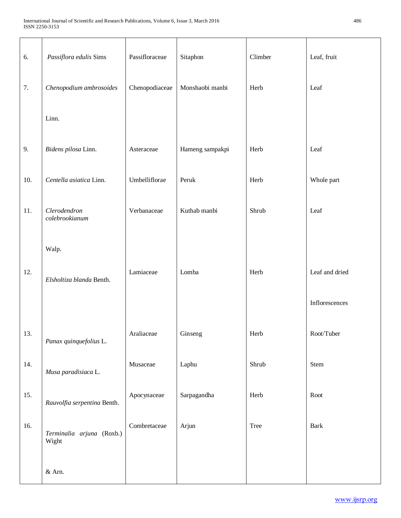| 6.  | Passiflora edulis Sims             | Passifloraceae | Sitaphon        | Climber | Leaf, fruit    |
|-----|------------------------------------|----------------|-----------------|---------|----------------|
| 7.  | Chenopodium ambrosoides            | Chenopodiaceae | Monshaobi manbi | Herb    | Leaf           |
|     | Linn.                              |                |                 |         |                |
| 9.  | Bidens pilosa Linn.                | Asteraceae     | Hameng sampakpi | Herb    | Leaf           |
| 10. | Centella asiatica Linn.            | Umbelliflorae  | Peruk           | Herb    | Whole part     |
| 11. | Clerodendron<br>colebrookianum     | Verbanaceae    | Kuthab manbi    | Shrub   | Leaf           |
|     | Walp.                              |                |                 |         |                |
| 12. | Elsholtiza blanda Benth.           | Lamiaceae      | Lomba           | Herb    | Leaf and dried |
|     |                                    |                |                 |         | Inflorescences |
| 13. | Panax quinquefolius L.             | Araliaceae     | Ginseng         | Herb    | Root/Tuber     |
| 14. | Musa paradisiaca L.                | Musaceae       | Laphu           | Shrub   | Stem           |
| 15. | Rauvolfia serpentina Benth.        | Apocynaceae    | Sarpagandha     | Herb    | Root           |
| 16. | Terminalia arjuna (Roxb.)<br>Wight | Combretaceae   | Arjun           | Tree    | Bark           |
|     | & Arn.                             |                |                 |         |                |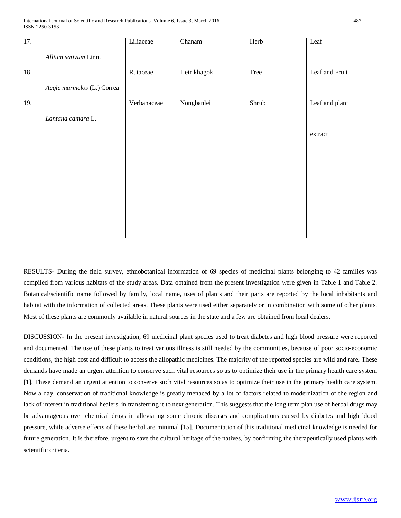| 17. |                            | Liliaceae   | $\overline{\text{Chanam}}$ | Herb  | Leaf           |
|-----|----------------------------|-------------|----------------------------|-------|----------------|
|     | Allium sativum Linn.       |             |                            |       |                |
| 18. |                            | Rutaceae    | Heirikhagok                | Tree  | Leaf and Fruit |
|     | Aegle marmelos (L.) Correa |             |                            |       |                |
| 19. |                            | Verbanaceae | Nongbanlei                 | Shrub | Leaf and plant |
|     | Lantana camara L.          |             |                            |       |                |
|     |                            |             |                            |       | extract        |
|     |                            |             |                            |       |                |
|     |                            |             |                            |       |                |
|     |                            |             |                            |       |                |
|     |                            |             |                            |       |                |
|     |                            |             |                            |       |                |
|     |                            |             |                            |       |                |

RESULTS- During the field survey, ethnobotanical information of 69 species of medicinal plants belonging to 42 families was compiled from various habitats of the study areas. Data obtained from the present investigation were given in Table 1 and Table 2. Botanical/scientific name followed by family, local name, uses of plants and their parts are reported by the local inhabitants and habitat with the information of collected areas. These plants were used either separately or in combination with some of other plants. Most of these plants are commonly available in natural sources in the state and a few are obtained from local dealers.

DISCUSSION- In the present investigation, 69 medicinal plant species used to treat diabetes and high blood pressure were reported and documented. The use of these plants to treat various illness is still needed by the communities, because of poor socio-economic conditions, the high cost and difficult to access the allopathic medicines. The majority of the reported species are wild and rare. These demands have made an urgent attention to conserve such vital resources so as to optimize their use in the primary health care system [1]. These demand an urgent attention to conserve such vital resources so as to optimize their use in the primary health care system. Now a day, conservation of traditional knowledge is greatly menaced by a lot of factors related to modernization of the region and lack of interest in traditional healers, in transferring it to next generation. This suggests that the long term plan use of herbal drugs may be advantageous over chemical drugs in alleviating some chronic diseases and complications caused by diabetes and high blood pressure, while adverse effects of these herbal are minimal [15]. Documentation of this traditional medicinal knowledge is needed for future generation. It is therefore, urgent to save the cultural heritage of the natives, by confirming the therapeutically used plants with scientific criteria.